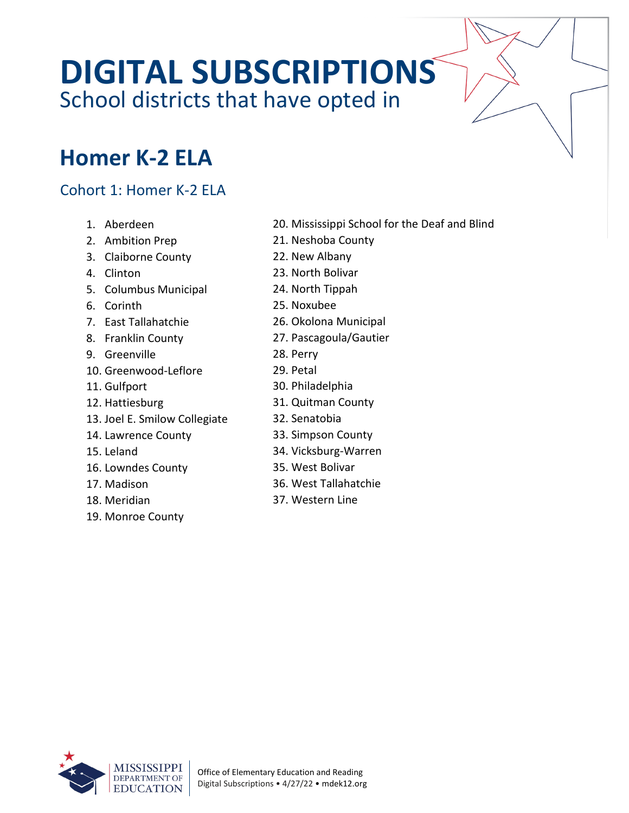# **DIGITAL SUBSCRIPTIONS** School districts that have opted in

### **Homer K-2 ELA**

### Cohort 1: Homer K-2 ELA

- 1. Aberdeen
- 2. Ambition Prep
- 3. Claiborne County
- 4. Clinton
- 5. Columbus Municipal
- 6. Corinth
- 7. East Tallahatchie
- 8. Franklin County
- 9. Greenville
- 10. Greenwood-Leflore
- 11. Gulfport
- 12. Hattiesburg
- 13. Joel E. Smilow Collegiate
- 14. Lawrence County
- 15. Leland
- 16. Lowndes County
- 17. Madison
- 18. Meridian
- 19. Monroe County
- 20. Mississippi School for the Deaf and Blind
- 21. Neshoba County
- 22. New Albany
- 23. North Bolivar
- 24. North Tippah
- 25. Noxubee
- 26. Okolona Municipal
- 27. Pascagoula/Gautier
- 28. Perry
- 29. Petal
- 30. Philadelphia
- 31. Quitman County
- 32. Senatobia
- 33. Simpson County
- 34. Vicksburg-Warren
- 35. West Bolivar
- 36. West Tallahatchie
- 37. Western Line

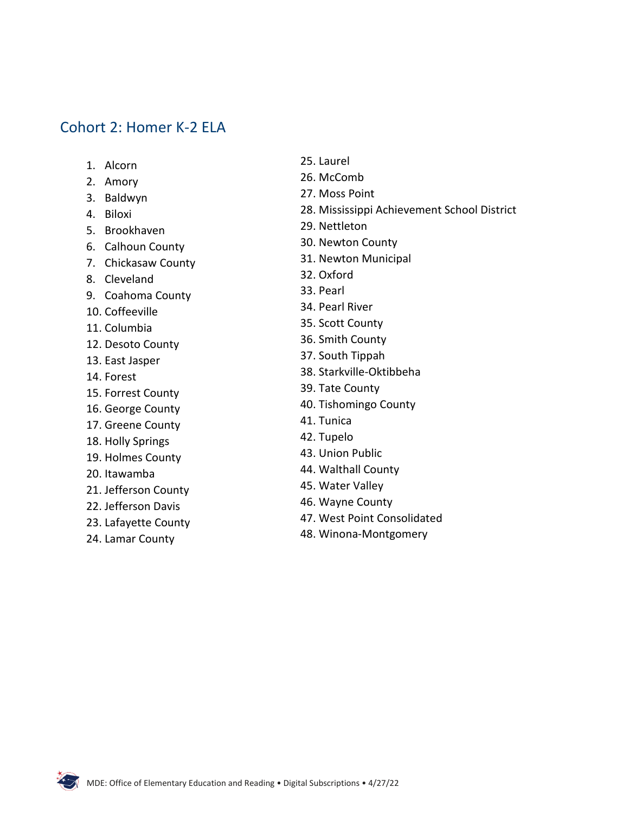#### Cohort 2: Homer K-2 ELA

1. Alcorn

2. Amory 3. Baldwyn 4. Biloxi 5. Brookhaven 6. Calhoun County 7. Chickasaw County 8. Cleveland 9. Coahoma County 10. Coffeeville 11. Columbia 12. Desoto County 13. East Jasper 14. Forest 15. Forrest County 16. George County 17. Greene County 18. Holly Springs 19. Holmes County 20. Itawamba 21. Jefferson County 22. Jefferson Davis 23. Lafayette County 24. Lamar County

- 25. Laurel
- 26. McComb
- 27. Moss Point
- 28. Mississippi Achievement School District
- 29. Nettleton
- 30. Newton County
- 31. Newton Municipal
- 32. Oxford
- 33. Pearl
- 34. Pearl River
- 35. Scott County
- 36. Smith County
- 37. South Tippah
- 38. Starkville-Oktibbeha
- 39. Tate County
- 40. Tishomingo County
- 41. Tunica
- 42. Tupelo
- 43. Union Public
- 44. Walthall County
- 45. Water Valley
- 46. Wayne County
- 47. West Point Consolidated
- 48. Winona-Montgomery

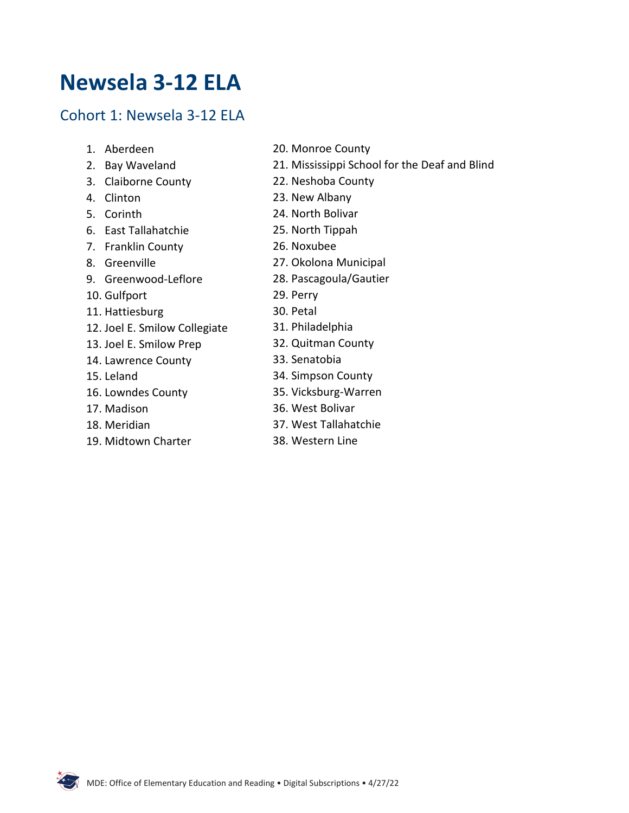### **Newsela 3-12 ELA**

#### Cohort 1: Newsela 3-12 ELA

- 1. Aberdeen
- 2. Bay Waveland
- 3. Claiborne County
- 4. Clinton
- 5. Corinth
- 6. East Tallahatchie
- 7. Franklin County
- 8. Greenville
- 9. Greenwood-Leflore
- 10. Gulfport
- 11. Hattiesburg
- 12. Joel E. Smilow Collegiate
- 13. Joel E. Smilow Prep
- 14. Lawrence County
- 15. Leland
- 16. Lowndes County
- 17. Madison
- 18. Meridian
- 19. Midtown Charter
- 20. Monroe County
- 21. Mississippi School for the Deaf and Blind
- 22. Neshoba County
- 23. New Albany
- 24. North Bolivar
- 25. North Tippah
- 26. Noxubee
- 27. Okolona Municipal
- 28. Pascagoula/Gautier
- 29. Perry
- 30. Petal
- 31. Philadelphia
- 32. Quitman County
- 33. Senatobia
- 34. Simpson County
- 35. Vicksburg-Warren
- 36. West Bolivar
- 37. West Tallahatchie
- 38. Western Line

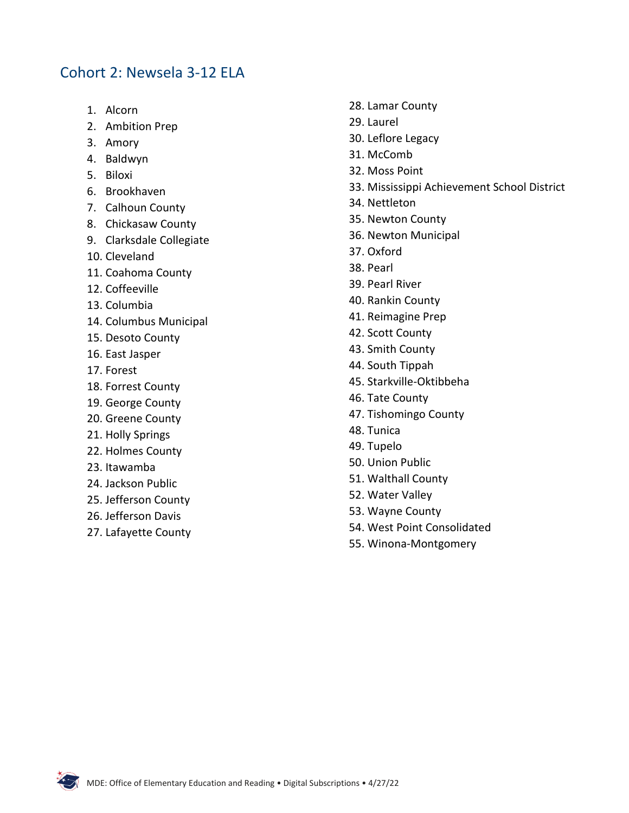#### Cohort 2: Newsela 3-12 ELA

- 1. Alcorn
- 2. Ambition Prep
- 3. Amory
- 4. Baldwyn
- 5. Biloxi
- 6. Brookhaven
- 7. Calhoun County
- 8. Chickasaw County
- 9. Clarksdale Collegiate
- 10. Cleveland
- 11. Coahoma County
- 12. Coffeeville
- 13. Columbia
- 14. Columbus Municipal
- 15. Desoto County
- 16. East Jasper
- 17. Forest
- 18. Forrest County
- 19. George County
- 20. Greene County
- 21. Holly Springs
- 22. Holmes County
- 23. Itawamba
- 24. Jackson Public
- 25. Jefferson County
- 26. Jefferson Davis
- 27. Lafayette County
- 28. Lamar County
- 29. Laurel
- 30. Leflore Legacy
- 31. McComb
- 32. Moss Point
- 33. Mississippi Achievement School District
- 34. Nettleton
- 35. Newton County
- 36. Newton Municipal
- 37. Oxford
- 38. Pearl
- 39. Pearl River
- 40. Rankin County
- 41. Reimagine Prep
- 42. Scott County
- 43. Smith County
- 44. South Tippah
- 45. Starkville-Oktibbeha
- 46. Tate County
- 47. Tishomingo County
- 48. Tunica
- 49. Tupelo
- 50. Union Public
- 51. Walthall County
- 52. Water Valley
- 53. Wayne County
- 54. West Point Consolidated
- 55. Winona-Montgomery

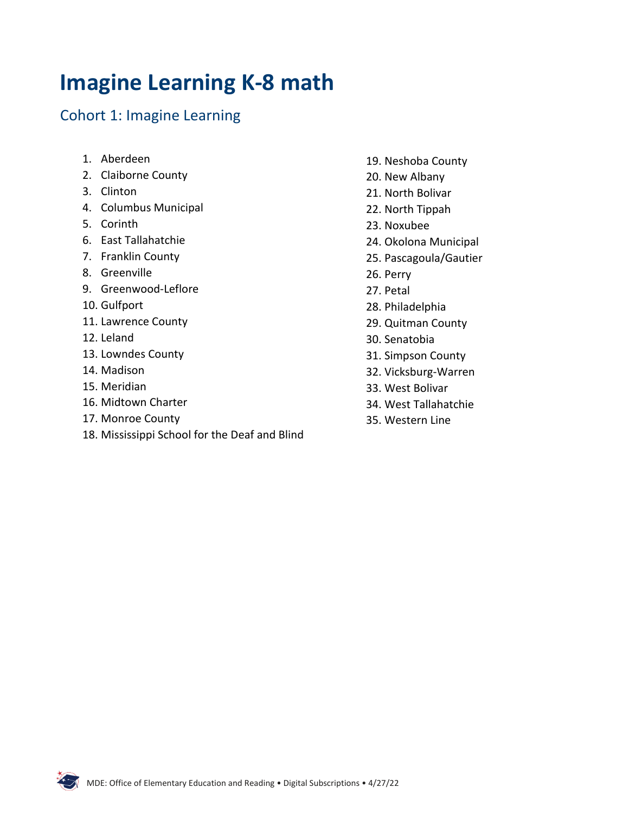# **Imagine Learning K-8 math**

### Cohort 1: Imagine Learning

- 1. Aberdeen
- 2. Claiborne County
- 3. Clinton
- 4. Columbus Municipal
- 5. Corinth
- 6. East Tallahatchie
- 7. Franklin County
- 8. Greenville
- 9. Greenwood-Leflore
- 10. Gulfport
- 11. Lawrence County
- 12. Leland
- 13. Lowndes County
- 14. Madison
- 15. Meridian
- 16. Midtown Charter
- 17. Monroe County
- 18. Mississippi School for the Deaf and Blind
- 19. Neshoba County
- 20. New Albany
- 21. North Bolivar
- 22. North Tippah
- 23. Noxubee
- 24. Okolona Municipal
- 25. Pascagoula/Gautier
- 26. Perry
- 27. Petal
- 28. Philadelphia
- 29. Quitman County
- 30. Senatobia
- 31. Simpson County
- 32. Vicksburg-Warren
- 33. West Bolivar
- 34. West Tallahatchie
- 35. Western Line

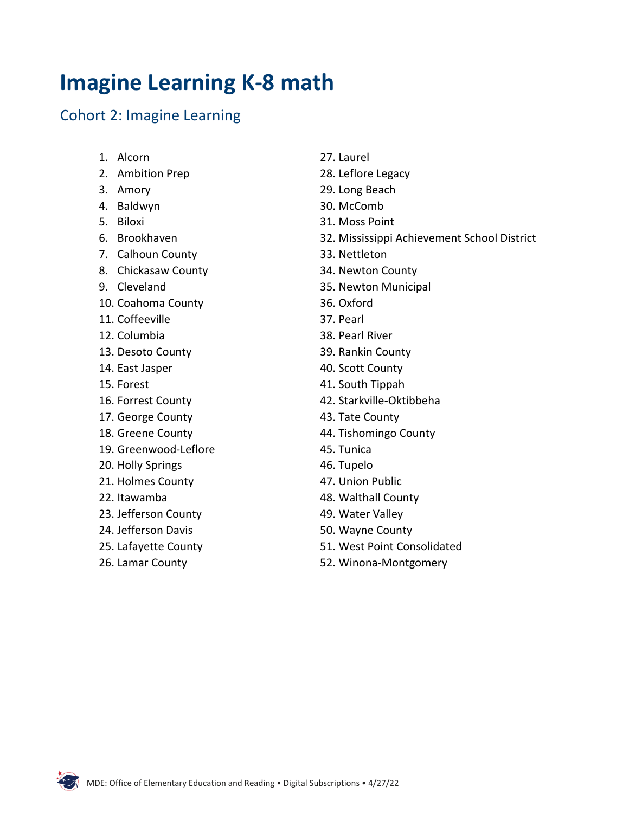### **Imagine Learning K-8 math**

### Cohort 2: Imagine Learning

- 1. Alcorn
- 2. Ambition Prep
- 3. Amory
- 4. Baldwyn
- 5. Biloxi
- 6. Brookhaven
- 7. Calhoun County
- 8. Chickasaw County
- 9. Cleveland
- 10. Coahoma County
- 11. Coffeeville
- 12. Columbia
- 13. Desoto County
- 14. East Jasper
- 15. Forest
- 16. Forrest County
- 17. George County
- 18. Greene County
- 19. Greenwood-Leflore
- 20. Holly Springs
- 21. Holmes County
- 22. Itawamba
- 23. Jefferson County
- 24. Jefferson Davis
- 25. Lafayette County
- 26. Lamar County
- 27. Laurel
- 28. Leflore Legacy
- 29. Long Beach
- 30. McComb
- 31. Moss Point
- 32. Mississippi Achievement School District
- 33. Nettleton
- 34. Newton County
- 35. Newton Municipal
- 36. Oxford
- 37. Pearl
- 38. Pearl River
- 39. Rankin County
- 40. Scott County
- 41. South Tippah
- 42. Starkville-Oktibbeha
- 43. Tate County
- 44. Tishomingo County
- 45. Tunica
- 46. Tupelo
- 47. Union Public
- 48. Walthall County
- 49. Water Valley
- 50. Wayne County
- 51. West Point Consolidated
- 52. Winona-Montgomery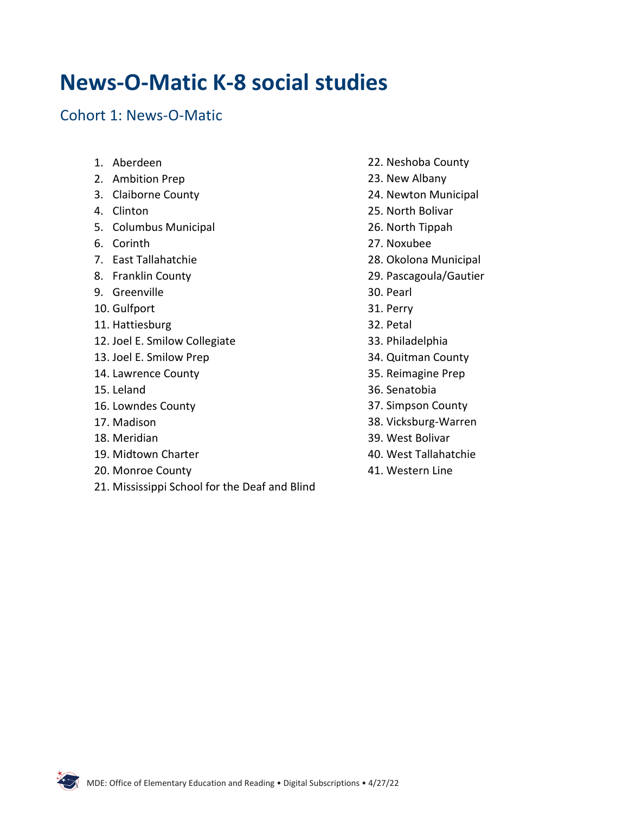### **News-O-Matic K-8 social studies**

#### Cohort 1: News-O-Matic

- 1. Aberdeen
- 2. Ambition Prep
- 3. Claiborne County
- 4. Clinton
- 5. Columbus Municipal
- 6. Corinth
- 7. East Tallahatchie
- 8. Franklin County
- 9. Greenville
- 10. Gulfport
- 11. Hattiesburg
- 12. Joel E. Smilow Collegiate
- 13. Joel E. Smilow Prep
- 14. Lawrence County
- 15. Leland
- 16. Lowndes County
- 17. Madison
- 18. Meridian
- 19. Midtown Charter
- 20. Monroe County
- 21. Mississippi School for the Deaf and Blind
- 22. Neshoba County
- 23. New Albany
- 24. Newton Municipal
- 25. North Bolivar
- 26. North Tippah
- 27. Noxubee
- 28. Okolona Municipal
- 29. Pascagoula/Gautier
- 30. Pearl
- 31. Perry
- 32. Petal
- 33. Philadelphia
- 34. Quitman County
- 35. Reimagine Prep
- 36. Senatobia
- 37. Simpson County
- 38. Vicksburg-Warren
- 39. West Bolivar
- 40. West Tallahatchie
- 41. Western Line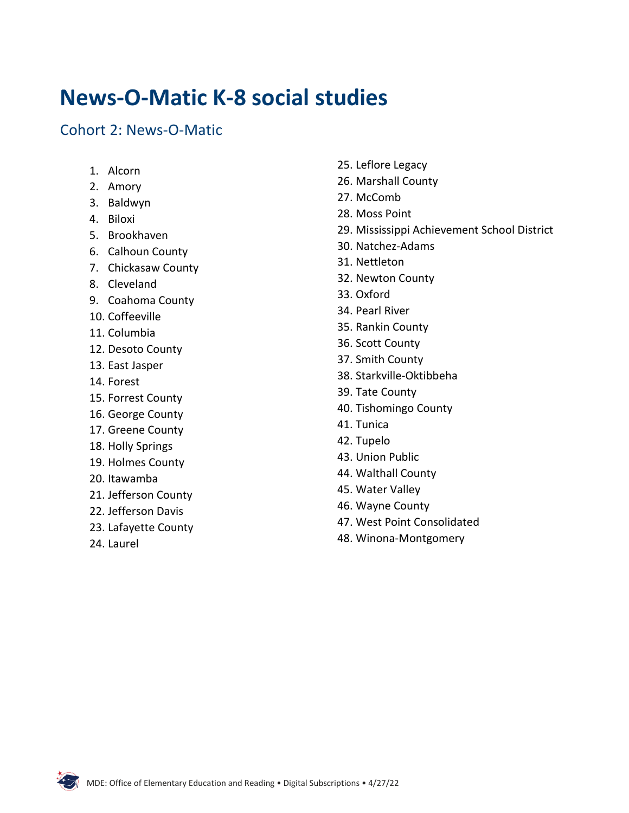### **News-O-Matic K-8 social studies**

#### Cohort 2: News-O-Matic

- 1. Alcorn
- 2. Amory
- 3. Baldwyn
- 4. Biloxi
- 5. Brookhaven
- 6. Calhoun County
- 7. Chickasaw County
- 8. Cleveland
- 9. Coahoma County
- 10. Coffeeville
- 11. Columbia
- 12. Desoto County
- 13. East Jasper
- 14. Forest
- 15. Forrest County
- 16. George County
- 17. Greene County
- 18. Holly Springs
- 19. Holmes County
- 20. Itawamba
- 21. Jefferson County
- 22. Jefferson Davis
- 23. Lafayette County
- 24. Laurel
- 25. Leflore Legacy
- 26. Marshall County
- 27. McComb
- 28. Moss Point
- 29. Mississippi Achievement School District
- 30. Natchez-Adams
- 31. Nettleton
- 32. Newton County
- 33. Oxford
- 34. Pearl River
- 35. Rankin County
- 36. Scott County
- 37. Smith County
- 38. Starkville-Oktibbeha
- 39. Tate County
- 40. Tishomingo County
- 41. Tunica
- 42. Tupelo
- 43. Union Public
- 44. Walthall County
- 45. Water Valley
- 46. Wayne County
- 47. West Point Consolidated
- 48. Winona-Montgomery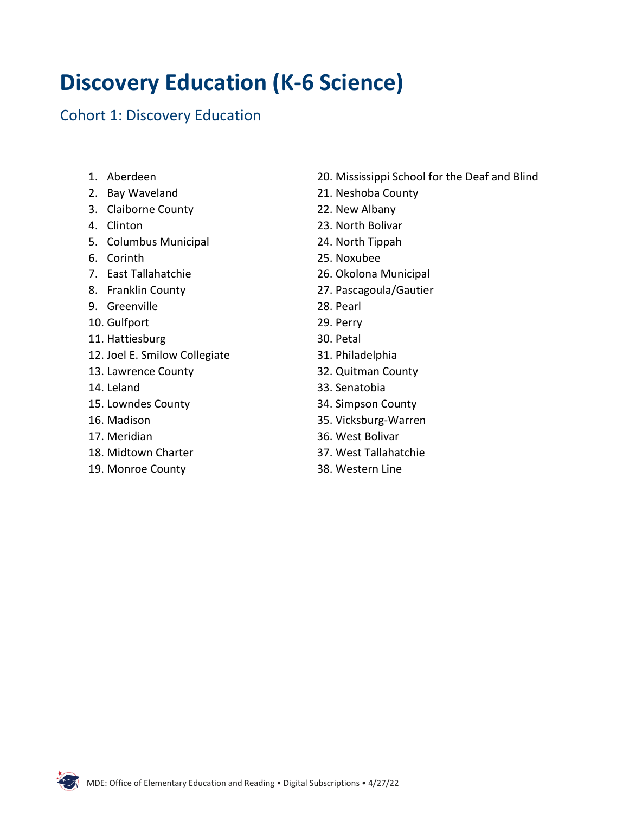# **Discovery Education (K-6 Science)**

### Cohort 1: Discovery Education

- 1. Aberdeen
- 2. Bay Waveland
- 3. Claiborne County
- 4. Clinton
- 5. Columbus Municipal
- 6. Corinth
- 7. East Tallahatchie
- 8. Franklin County
- 9. Greenville
- 10. Gulfport
- 11. Hattiesburg
- 12. Joel E. Smilow Collegiate
- 13. Lawrence County
- 14. Leland
- 15. Lowndes County
- 16. Madison
- 17. Meridian
- 18. Midtown Charter
- 19. Monroe County
- 20. Mississippi School for the Deaf and Blind
- 21. Neshoba County
- 22. New Albany
- 23. North Bolivar
- 24. North Tippah
- 25. Noxubee
- 26. Okolona Municipal
- 27. Pascagoula/Gautier
- 28. Pearl
- 29. Perry
- 30. Petal
- 31. Philadelphia
- 32. Quitman County
- 33. Senatobia
- 34. Simpson County
- 35. Vicksburg-Warren
- 36. West Bolivar
- 37. West Tallahatchie
- 38. Western Line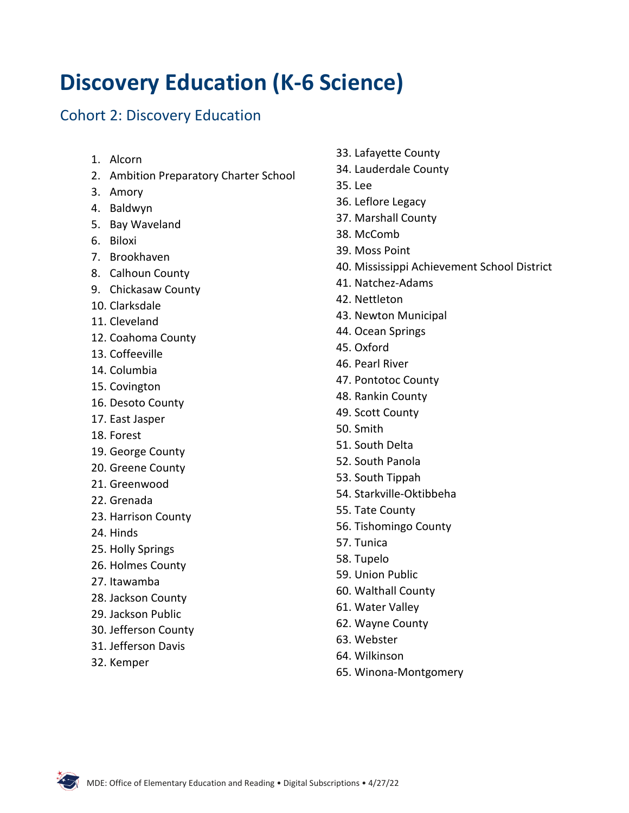# **Discovery Education (K-6 Science)**

### Cohort 2: Discovery Education

- 1. Alcorn
- 2. Ambition Preparatory Charter School
- 3. Amory
- 4. Baldwyn
- 5. Bay Waveland
- 6. Biloxi
- 7. Brookhaven
- 8. Calhoun County
- 9. Chickasaw County
- 10. Clarksdale
- 11. Cleveland
- 12. Coahoma County
- 13. Coffeeville
- 14. Columbia
- 15. Covington
- 16. Desoto County
- 17. East Jasper
- 18. Forest
- 19. George County
- 20. Greene County
- 21. Greenwood
- 22. Grenada
- 23. Harrison County
- 24. Hinds
- 25. Holly Springs
- 26. Holmes County
- 27. Itawamba
- 28. Jackson County
- 29. Jackson Public
- 30. Jefferson County
- 31. Jefferson Davis
- 32. Kemper
- 33. Lafayette County
- 34. Lauderdale County
- 35. Lee
- 36. Leflore Legacy
- 37. Marshall County
- 38. McComb
- 39. Moss Point
- 40. Mississippi Achievement School District
- 41. Natchez-Adams
- 42. Nettleton
- 43. Newton Municipal
- 44. Ocean Springs
- 45. Oxford
- 46. Pearl River
- 47. Pontotoc County
- 48. Rankin County
- 49. Scott County
- 50. Smith
- 51. South Delta
- 52. South Panola
- 53. South Tippah
- 54. Starkville-Oktibbeha
- 55. Tate County
- 56. Tishomingo County
- 57. Tunica
- 58. Tupelo
- 59. Union Public
- 60. Walthall County
- 61. Water Valley
- 62. Wayne County
- 63. Webster
- 64. Wilkinson
- 65. Winona-Montgomery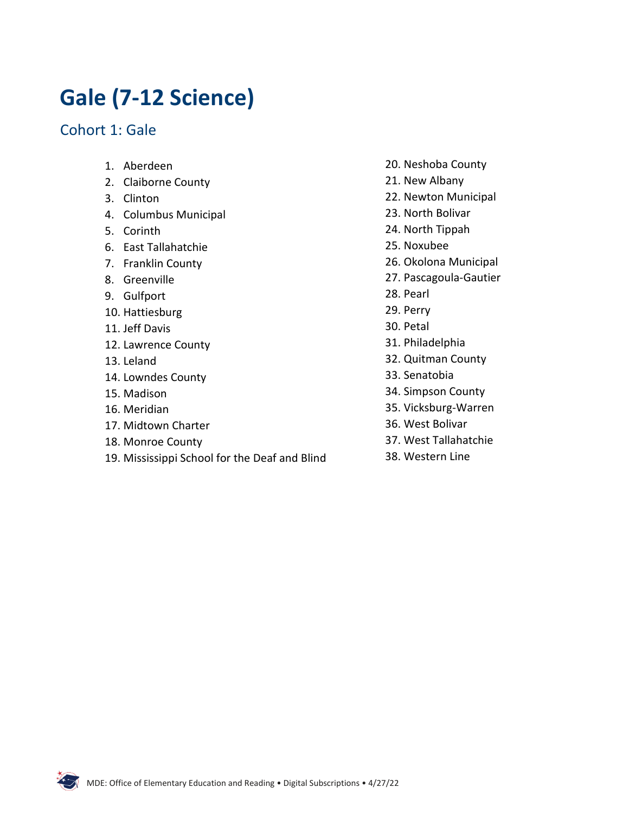# **Gale (7-12 Science)**

Cohort 1: Gale

- 1. Aberdeen
- 2. Claiborne County
- 3. Clinton
- 4. Columbus Municipal
- 5. Corinth
- 6. East Tallahatchie
- 7. Franklin County
- 8. Greenville
- 9. Gulfport
- 10. Hattiesburg
- 11. Jeff Davis
- 12. Lawrence County
- 13. Leland
- 14. Lowndes County
- 15. Madison
- 16. Meridian
- 17. Midtown Charter
- 18. Monroe County
- 19. Mississippi School for the Deaf and Blind
- 20. Neshoba County
- 21. New Albany
- 22. Newton Municipal
- 23. North Bolivar
- 24. North Tippah
- 25. Noxubee
- 26. Okolona Municipal
- 27. Pascagoula-Gautier
- 28. Pearl
- 29. Perry
- 30. Petal
- 31. Philadelphia
- 32. Quitman County
- 33. Senatobia
- 34. Simpson County
- 35. Vicksburg-Warren
- 36. West Bolivar
- 37. West Tallahatchie
- 38. Western Line